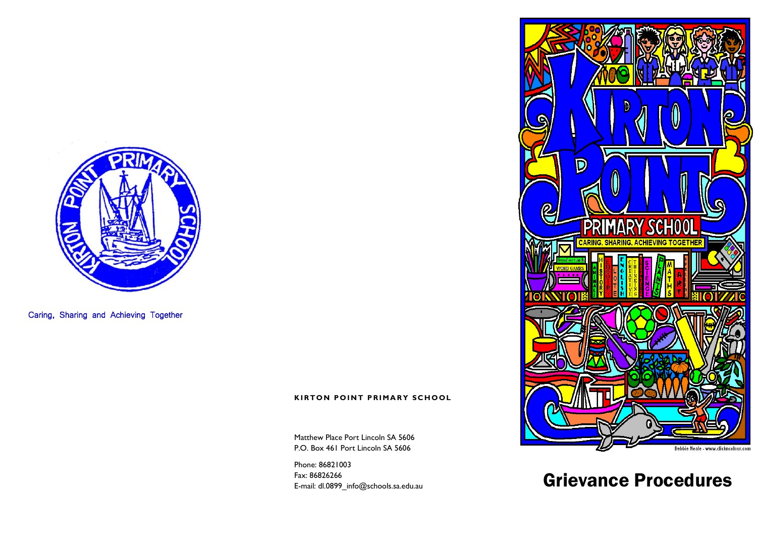

Caring, Sharing and Achieving Together

#### **KIRTON POINT PRIMARY SCHOOL**

Matthew Place Port Lincoln SA 5606 P.O. Box 461 Port Lincoln SA 5606

Phone: 86821003 Fax: 86826266 E-mail: dl.0899\_info@schools.sa.edu.au



# Grievance Procedures